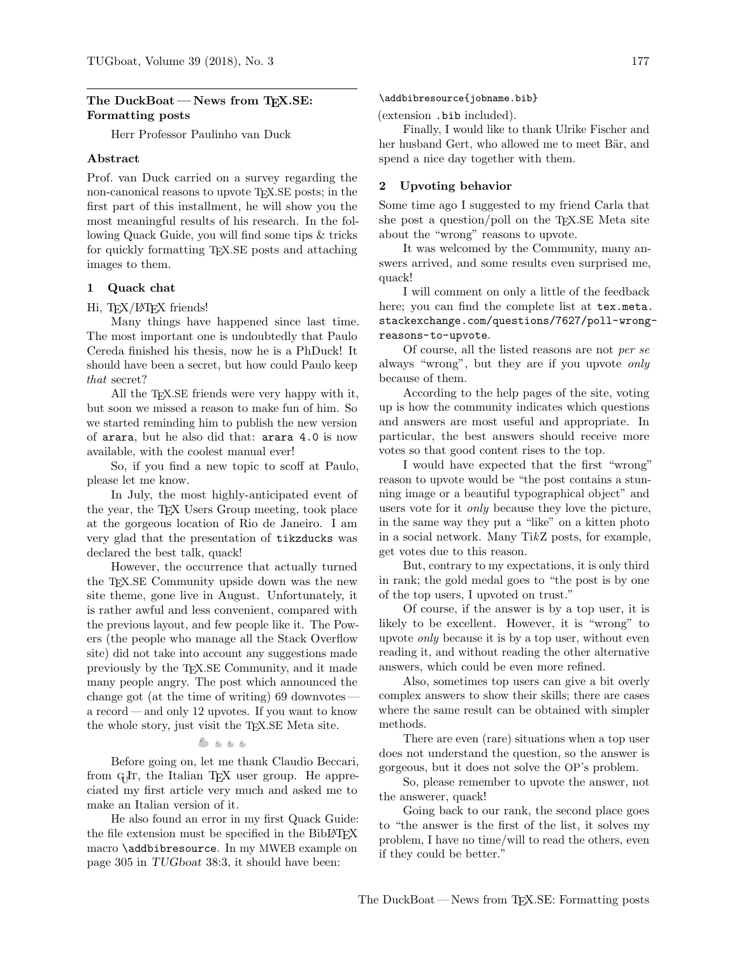## The DuckBoat – News from TFX.SE: Formatting posts

Herr Professor Paulinho van Duck

## Abstract

Prof. van Duck carried on a survey regarding the non-canonical reasons to upvote TEX.SE posts; in the first part of this installment, he will show you the most meaningful results of his research. In the following Quack Guide, you will find some tips & tricks for quickly formatting TEX.SE posts and attaching images to them.

### 1 Quack chat

Hi, TFX/L<sup>AT</sup>FX friends!

Many things have happened since last time. The most important one is undoubtedly that Paulo Cereda finished his thesis, now he is a PhDuck! It should have been a secret, but how could Paulo keep that secret?

All the T<sub>EX</sub>.SE friends were very happy with it, but soon we missed a reason to make fun of him. So we started reminding him to publish the new version of arara, but he also did that: arara 4.0 is now available, with the coolest manual ever!

So, if you find a new topic to scoff at Paulo, please let me know.

In July, the most highly-anticipated event of the year, the TEX Users Group meeting, took place at the gorgeous location of Rio de Janeiro. I am very glad that the presentation of tikzducks was declared the best talk, quack!

However, the occurrence that actually turned the TEX.SE Community upside down was the new site theme, gone live in August. Unfortunately, it is rather awful and less convenient, compared with the previous layout, and few people like it. The Powers (the people who manage all the Stack Overflow site) did not take into account any suggestions made previously by the TEX.SE Community, and it made many people angry. The post which announced the change got (at the time of writing) 69 downvotes a record — and only 12 upvotes. If you want to know the whole story, just visit the T<sub>E</sub>X.SE Meta site.

# $8.888$

Before going on, let me thank Claudio Beccari, from GJr, the Italian TEX user group. He appreciated my first article very much and asked me to make an Italian version of it.

He also found an error in my first Quack Guide: the file extension must be specified in the BibLAT<sub>EX</sub> macro \addbibresource. In my MWEB example on page 305 in TUGboat 38:3, it should have been:

\addbibresource{jobname.bib}

(extension .bib included).

Finally, I would like to thank Ulrike Fischer and her husband Gert, who allowed me to meet Bär, and spend a nice day together with them.

### 2 Upvoting behavior

Some time ago I suggested to my friend Carla that she post a question/poll on the TEX.SE Meta site about the "wrong" reasons to upvote.

It was welcomed by the Community, many answers arrived, and some results even surprised me, quack!

I will comment on only a little of the feedback here; you can find the complete list at [tex.meta.](tex.meta.stackexchange.com/questions/7627/poll-wrong-reasons-to-upvote) [stackexchange.com/questions/7627/poll-wrong](tex.meta.stackexchange.com/questions/7627/poll-wrong-reasons-to-upvote)[reasons-to-upvote](tex.meta.stackexchange.com/questions/7627/poll-wrong-reasons-to-upvote).

Of course, all the listed reasons are not per se always "wrong", but they are if you upvote only because of them.

According to the help pages of the site, voting up is how the community indicates which questions and answers are most useful and appropriate. In particular, the best answers should receive more votes so that good content rises to the top.

I would have expected that the first "wrong" reason to upvote would be "the post contains a stunning image or a beautiful typographical object" and users vote for it only because they love the picture, in the same way they put a "like" on a kitten photo in a social network. Many TikZ posts, for example, get votes due to this reason.

But, contrary to my expectations, it is only third in rank; the gold medal goes to "the post is by one of the top users, I upvoted on trust."

Of course, if the answer is by a top user, it is likely to be excellent. However, it is "wrong" to upvote only because it is by a top user, without even reading it, and without reading the other alternative answers, which could be even more refined.

Also, sometimes top users can give a bit overly complex answers to show their skills; there are cases where the same result can be obtained with simpler methods.

There are even (rare) situations when a top user does not understand the question, so the answer is gorgeous, but it does not solve the OP's problem.

So, please remember to upvote the answer, not the answerer, quack!

Going back to our rank, the second place goes to "the answer is the first of the list, it solves my problem, I have no time/will to read the others, even if they could be better."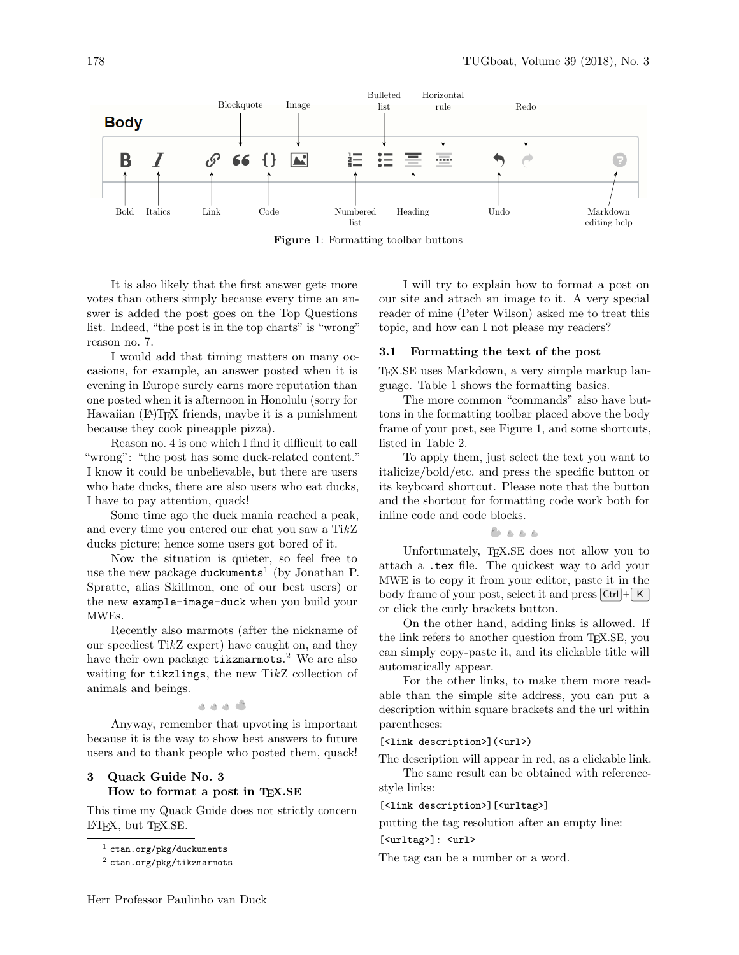<span id="page-1-2"></span>

Figure 1: Formatting toolbar buttons

It is also likely that the first answer gets more votes than others simply because every time an answer is added the post goes on the Top Questions list. Indeed, "the post is in the top charts" is "wrong" reason no. 7.

I would add that timing matters on many occasions, for example, an answer posted when it is evening in Europe surely earns more reputation than one posted when it is afternoon in Honolulu (sorry for Hawaiian (LA)T<sub>F</sub>X friends, maybe it is a punishment because they cook pineapple pizza).

Reason no. 4 is one which I find it difficult to call "wrong": "the post has some duck-related content." I know it could be unbelievable, but there are users who hate ducks, there are also users who eat ducks, I have to pay attention, quack!

Some time ago the duck mania reached a peak, and every time you entered our chat you saw a TikZ ducks picture; hence some users got bored of it.

Now the situation is quieter, so feel free to use the new package duckuments<sup>[1](#page-1-0)</sup> (by Jonathan P. Spratte, alias Skillmon, one of our best users) or the new example-image-duck when you build your MWEs.

Recently also marmots (after the nickname of our speediest TikZ expert) have caught on, and they have their own package  $\texttt{tikzmarmots}.$ <sup>[2](#page-1-1)</sup> We are also waiting for tikzlings, the new TikZ collection of animals and beings.

گ د د د

Anyway, remember that upvoting is important because it is the way to show best answers to future users and to thank people who posted them, quack!

# 3 Quack Guide No. 3 How to format a post in TEX.SE

This time my Quack Guide does not strictly concern L<sup>A</sup>TEX, but TEX.SE.

I will try to explain how to format a post on our site and attach an image to it. A very special reader of mine (Peter Wilson) asked me to treat this topic, and how can I not please my readers?

# 3.1 Formatting the text of the post

TEX.SE uses Markdown, a very simple markup language. Table [1](#page-2-0) shows the formatting basics.

The more common "commands" also have buttons in the formatting toolbar placed above the body frame of your post, see Figure [1,](#page-1-2) and some shortcuts, listed in Table [2.](#page-3-0)

To apply them, just select the text you want to italicize/bold/etc. and press the specific button or its keyboard shortcut. Please note that the button and the shortcut for formatting code work both for inline code and code blocks.

 $2.2.2.2$ 

Unfortunately, TEX.SE does not allow you to attach a .tex file. The quickest way to add your MWE is to copy it from your editor, paste it in the body frame of your post, select it and press  $|Ctrl| + | K |$ or click the curly brackets button.

On the other hand, adding links is allowed. If the link refers to another question from TEX.SE, you can simply copy-paste it, and its clickable title will automatically appear.

For the other links, to make them more readable than the simple site address, you can put a description within square brackets and the url within parentheses:

# [<link description>](<url>)

The description will appear in red, as a clickable link. The same result can be obtained with reference-

style links:

[<link description>][<urltag>]

putting the tag resolution after an empty line:

[<urltag>]: <url>

The tag can be a number or a word.

<span id="page-1-0"></span> $<sup>1</sup>$  <ctan.org/pkg/duckuments></sup>

<span id="page-1-1"></span><sup>2</sup> <ctan.org/pkg/tikzmarmots>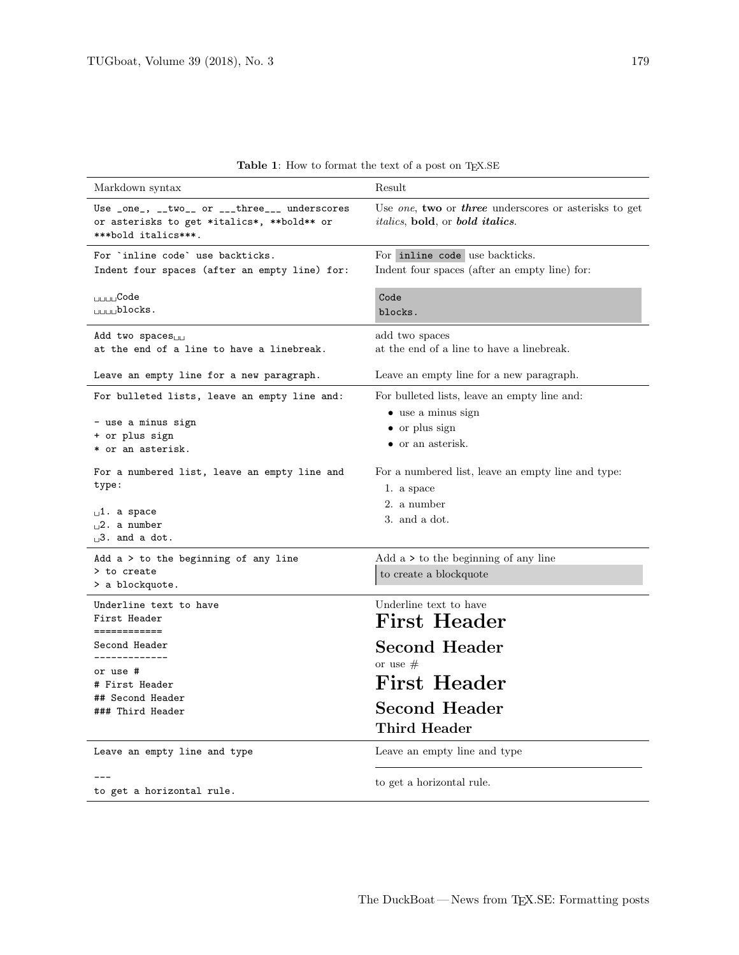<span id="page-2-0"></span>

| Markdown syntax                                                                                                                 | Result                                                                                                                                               |
|---------------------------------------------------------------------------------------------------------------------------------|------------------------------------------------------------------------------------------------------------------------------------------------------|
| Use _one_, __two__ or ___three___ underscores<br>or asterisks to get *italics*, **bold** or<br>***bold italics***.              | Use <i>one</i> , <b>two</b> or <i>three</i> underscores or asterisks to get<br><i>italics</i> , <b>bold</b> , or <b><i>bold</i></b> <i>italics</i> . |
| For `inline code` use backticks.<br>Indent four spaces (after an empty line) for:                                               | For inline code use backticks.<br>Indent four spaces (after an empty line) for:                                                                      |
| <sub>⊔⊔⊔⊔</sub> Code<br>$_{\text{L}}$ $_{\text{L}}$ $\text{blocks}.$                                                            | Code<br>blocks.                                                                                                                                      |
| Add two spaces <sub>uu</sub><br>at the end of a line to have a linebreak.                                                       | add two spaces<br>at the end of a line to have a linebreak.                                                                                          |
| Leave an empty line for a new paragraph.                                                                                        | Leave an empty line for a new paragraph.                                                                                                             |
| For bulleted lists, leave an empty line and:<br>- use a minus sign<br>+ or plus sign<br>* or an asterisk.                       | For bulleted lists, leave an empty line and:<br>$\bullet$ use a minus sign<br>$\bullet$ or plus sign<br>• or an asterisk.                            |
| For a numbered list, leave an empty line and<br>type:<br>$\mathbf{u}^1$ . a space<br>$\Box$ 2. a number<br>$\Box$ 3. and a dot. | For a numbered list, leave an empty line and type:<br>1. a space<br>2. a number<br>3. and a dot.                                                     |
| Add $a > to$ the beginning of any line<br>> to create<br>> a blockquote.                                                        | Add $a >$ to the beginning of any line<br>to create a blockquote                                                                                     |
| Underline text to have<br>First Header<br>============                                                                          | Underline text to have<br><b>First Header</b>                                                                                                        |
| Second Header                                                                                                                   | <b>Second Header</b>                                                                                                                                 |
| . _ _ _ _ _ _ _ _ _ _ _ _<br>or use #<br># First Header<br>## Second Header<br>### Third Header                                 | or use $#$<br><b>First Header</b><br><b>Second Header</b><br>Third Header                                                                            |
| Leave an empty line and type                                                                                                    | Leave an empty line and type                                                                                                                         |
| to get a horizontal rule.                                                                                                       | to get a horizontal rule.                                                                                                                            |

 ${\bf Table~1:}$  How to format the text of a post on TEX.SE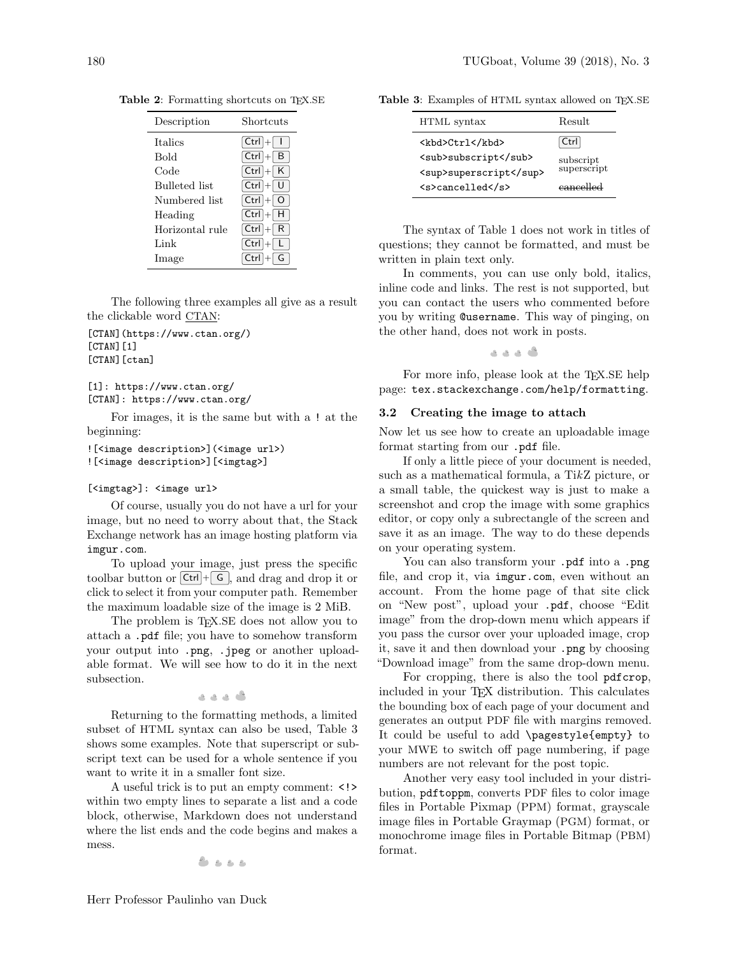| Description          | Shortcuts             |
|----------------------|-----------------------|
| <b>Italics</b>       | $Ctrl \mid \mid \mid$ |
| Bold                 | $Ctrl + B$            |
| Code                 | $ Ctrl  +   K  $      |
| <b>Bulleted</b> list | $Ctrl  +   U$         |
| Numbered list        | $Ctrl \mid + \mid O$  |
| Heading              | $[Ctr] + [H]$         |
| Horizontal rule      | $Ctrl \mid R$         |
| Link                 | $Ctrl + L$            |
| Image                | Ctrl                  |

<span id="page-3-0"></span>Table 2: Formatting shortcuts on TEX.SE

The following three examples all give as a result the clickable word CTAN:

[CTAN](https://www.ctan.org/)  $[CTAN]$  $[1]$ [CTAN][ctan]

```
[1]: https://www.ctan.org/
[CTAN]: https://www.ctan.org/
```
For images, it is the same but with a ! at the beginning:

```
![<image description>](<image url>)
![<image description>][<imgtag>]
```
### [<imgtag>]: <image url>

Of course, usually you do not have a url for your image, but no need to worry about that, the Stack Exchange network has an image hosting platform via <imgur.com>.

To upload your image, just press the specific toolbar button or  $\boxed{\mathsf{Ctrl}} + \boxed{\mathsf{G}}$ , and drag and drop it or click to select it from your computer path. Remember the maximum loadable size of the image is 2 MiB.

The problem is T<sub>EX</sub>.SE does not allow you to attach a .pdf file; you have to somehow transform your output into .png, .jpeg or another uploadable format. We will see how to do it in the next subsection.

گە دەك

Returning to the formatting methods, a limited subset of HTML syntax can also be used, Table [3](#page-3-1) shows some examples. Note that superscript or subscript text can be used for a whole sentence if you want to write it in a smaller font size.

A useful trick is to put an empty comment: <!> within two empty lines to separate a list and a code block, otherwise, Markdown does not understand where the list ends and the code begins and makes a mess.

$$
c_1, c_2, c_3 \in \mathcal{C}
$$

<span id="page-3-1"></span>Table 3: Examples of HTML syntax allowed on TEX.SE

| HTML syntax            | Result                   |  |
|------------------------|--------------------------|--|
| <kbd>Ctrl</kbd>        | Ctrl                     |  |
| <sub>subscript</sub>   | subscript<br>superscript |  |
| <sup>superscript</sup> |                          |  |
| <s>cancelled</s>       | eancelled                |  |

The syntax of Table [1](#page-2-0) does not work in titles of questions; they cannot be formatted, and must be written in plain text only.

In comments, you can use only bold, italics, inline code and links. The rest is not supported, but you can contact the users who commented before you by writing @username. This way of pinging, on the other hand, does not work in posts.

ی د د د

For more info, please look at the TEX.SE help page: <tex.stackexchange.com/help/formatting>.

#### 3.2 Creating the image to attach

Now let us see how to create an uploadable image format starting from our .pdf file.

If only a little piece of your document is needed, such as a mathematical formula, a TikZ picture, or a small table, the quickest way is just to make a screenshot and crop the image with some graphics editor, or copy only a subrectangle of the screen and save it as an image. The way to do these depends on your operating system.

You can also transform your .pdf into a .png file, and crop it, via <imgur.com>, even without an account. From the home page of that site click on "New post", upload your .pdf, choose "Edit image" from the drop-down menu which appears if you pass the cursor over your uploaded image, crop it, save it and then download your .png by choosing "Download image" from the same drop-down menu.

For cropping, there is also the tool pdfcrop, included in your TEX distribution. This calculates the bounding box of each page of your document and generates an output PDF file with margins removed. It could be useful to add \pagestyle{empty} to your MWE to switch off page numbering, if page numbers are not relevant for the post topic.

Another very easy tool included in your distribution, pdftoppm, converts PDF files to color image files in Portable Pixmap (PPM) format, grayscale image files in Portable Graymap (PGM) format, or monochrome image files in Portable Bitmap (PBM) format.